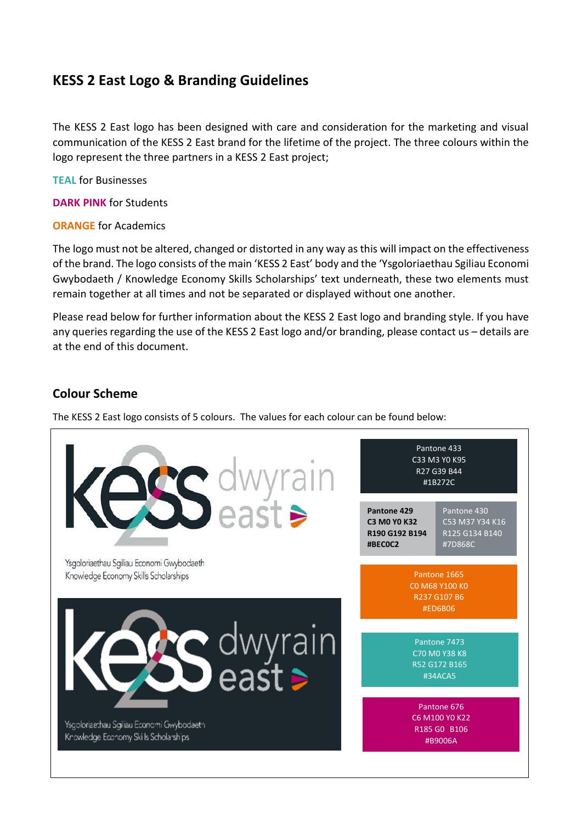# **KESS 2 East Logo & Branding Guidelines**

The KESS 2 East logo has been designed with care and consideration for the marketing and visual communication of the KESS 2 East brand for the lifetime of the project. The three colours within the logo represent the three partners in a KESS 2 East project;

**TEAL** for Businesses

**DARK PINK** for Students

**ORANGE** for Academics

The logo must not be altered, changed or distorted in any way as this will impact on the effectiveness of the brand. The logo consists of the main 'KESS 2 East' body and the 'Ysgoloriaethau Sgiliau Economi Gwybodaeth / Knowledge Economy Skills Scholarships' text underneath, these two elements must remain together at all times and not be separated or displayed without one another.

Please read below for further information about the KESS 2 East logo and branding style. If you have any queries regarding the use of the KESS 2 East logo and/or branding, please contact us – details are at the end of this document.

### **Colour Scheme**

The KESS 2 East logo consists of 5 colours. The values for each colour can be found below:

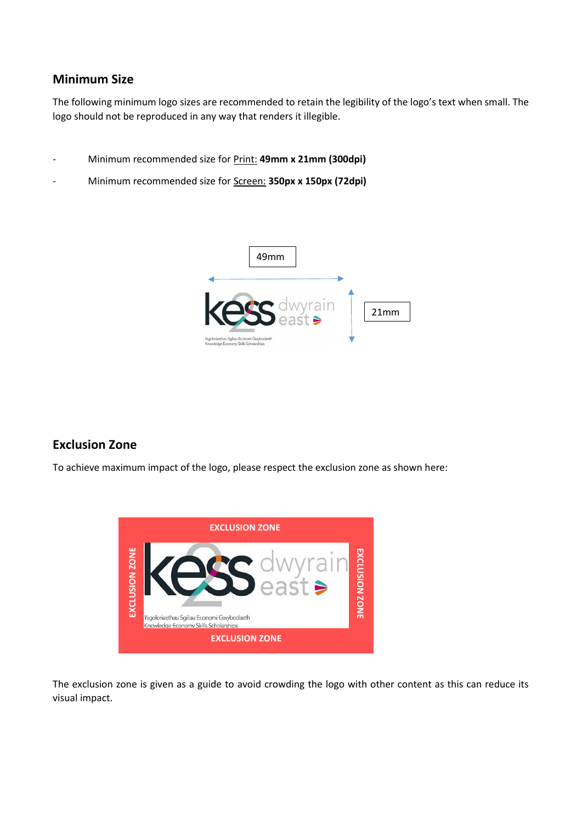### **Minimum Size**

The following minimum logo sizes are recommended to retain the legibility of the logo's text when small. The logo should not be reproduced in any way that renders it illegible.

- Minimum recommended size for Print: **49mm x 21mm (300dpi)**
- Minimum recommended size for Screen: **350px x 150px (72dpi)**



### **Exclusion Zone**

To achieve maximum impact of the logo, please respect the exclusion zone as shown here:



The exclusion zone is given as a guide to avoid crowding the logo with other content as this can reduce its visual impact.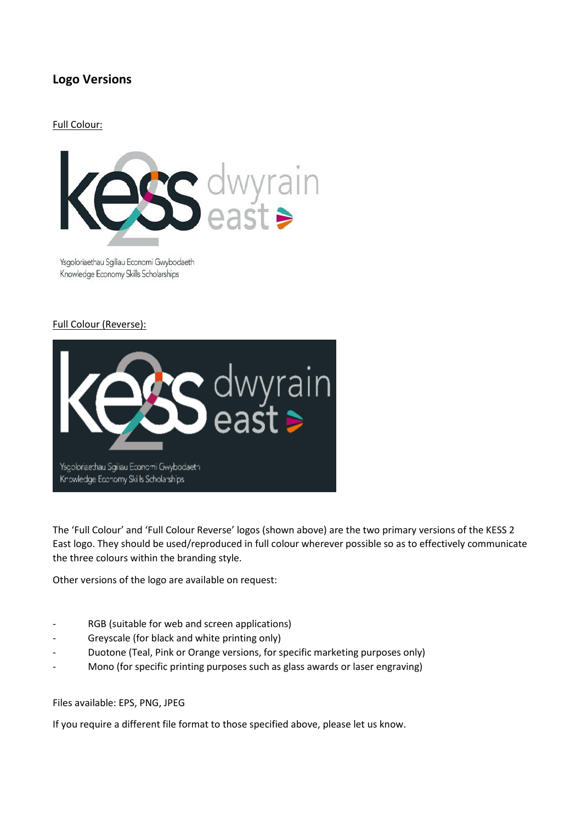## **Logo Versions**

#### Full Colour:



Ysgoloriaethau Sgiliau Economi Gwybodaeth Knowledge Economy Skills Scholarships

#### Full Colour (Reverse):



The 'Full Colour' and 'Full Colour Reverse' logos (shown above) are the two primary versions of the KESS 2 East logo. They should be used/reproduced in full colour wherever possible so as to effectively communicate the three colours within the branding style.

Other versions of the logo are available on request:

- RGB (suitable for web and screen applications)
- Greyscale (for black and white printing only)
- Duotone (Teal, Pink or Orange versions, for specific marketing purposes only)
- Mono (for specific printing purposes such as glass awards or laser engraving)

#### Files available: EPS, PNG, JPEG

If you require a different file format to those specified above, please let us know.